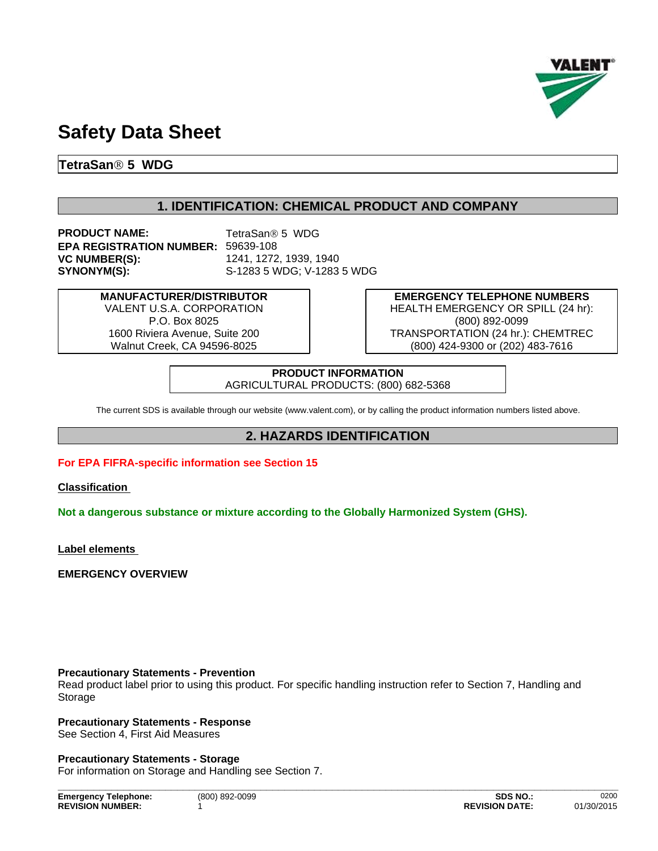

# **Safety Data Sheet**

**TetraSanÒ 5 WDG**

## **1. IDENTIFICATION: CHEMICAL PRODUCT AND COMPANY**

**PRODUCT NAME:** TetraSan<sup>®</sup> 5 WDG **EPA REGISTRATION NUMBER:** 59639-108 **VC NUMBER(S):** 1241, 1272, 1939, 1940 **SYNONYM(S):** S-1283 5 WDG; V-1283 5 WDG

**MANUFACTURER/DISTRIBUTOR** VALENT U.S.A. CORPORATION P.O. Box 8025 1600 Riviera Avenue, Suite 200 Walnut Creek, CA 94596-8025

**EMERGENCY TELEPHONE NUMBERS** HEALTH EMERGENCY OR SPILL (24 hr): (800) 892-0099 TRANSPORTATION (24 hr.): CHEMTREC (800) 424-9300 or (202) 483-7616

**PRODUCT INFORMATION** AGRICULTURAL PRODUCTS: (800) 682-5368

The current SDS is available through our website (www.valent.com), or by calling the product information numbers listed above.

## **2. HAZARDS IDENTIFICATION**

## **For EPA FIFRA-specific information see Section 15**

**Classification** 

**Not a dangerous substance or mixture according to the Globally Harmonized System (GHS).**

**Label elements** 

**EMERGENCY OVERVIEW**

## **Precautionary Statements - Prevention**

Read product label prior to using this product. For specific handling instruction refer to Section 7, Handling and Storage

**\_\_\_\_\_\_\_\_\_\_\_\_\_\_\_\_\_\_\_\_\_\_\_\_\_\_\_\_\_\_\_\_\_\_\_\_\_\_\_\_\_\_\_\_\_\_\_\_\_\_\_\_\_\_\_\_\_\_\_\_\_\_\_\_\_\_\_\_\_\_\_\_\_\_\_\_\_\_\_\_\_\_\_\_\_\_\_\_\_\_\_\_\_\_**

## **Precautionary Statements - Response**

See Section 4, First Aid Measures

**Precautionary Statements - Storage**

For information on Storage and Handling see Section 7.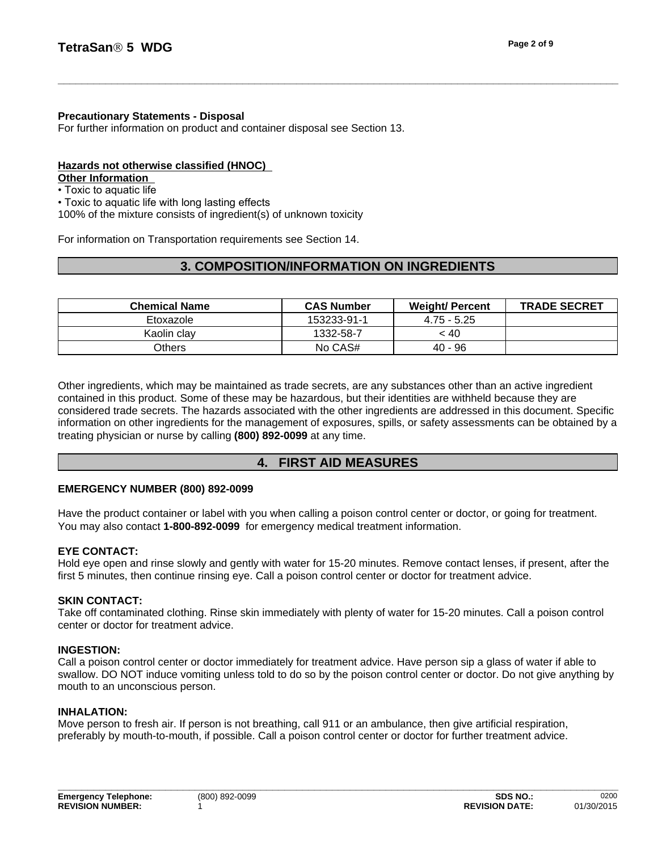For further information on product and container disposal see Section 13.

## **Hazards not otherwise classified (HNOC)**

**Other Information** 

• Toxic to aquatic life

• Toxic to aquatic life with long lasting effects

100% of the mixture consists of ingredient(s) of unknown toxicity

For information on Transportation requirements see Section 14.

## **3. COMPOSITION/INFORMATION ON INGREDIENTS**

| <b>Chemical Name</b> | <b>CAS Number</b> | <b>Weight/ Percent</b> | <b>TRADE SECRET</b> |
|----------------------|-------------------|------------------------|---------------------|
| Etoxazole            | 153233-91-1       | $4.75 - 5.25$          |                     |
| Kaolin clav          | 1332-58-7         | < 40                   |                     |
| <b>Others</b>        | No CAS#           | 40 - 96                |                     |

Other ingredients, which may be maintained as trade secrets, are any substances other than an active ingredient contained in this product. Some of these may be hazardous, but their identities are withheld because they are considered trade secrets. The hazards associated with the other ingredients are addressed in this document. Specific information on other ingredients for the management of exposures, spills, or safety assessments can be obtained by a treating physician or nurse by calling **(800) 892-0099** at any time.

## **4. FIRST AID MEASURES**

## **EMERGENCY NUMBER (800) 892-0099**

Have the product container or label with you when calling a poison control center or doctor, or going for treatment. You may also contact **1-800-892-0099** for emergency medical treatment information.

## **EYE CONTACT:**

Hold eye open and rinse slowly and gently with water for 15-20 minutes. Remove contact lenses, if present, after the first 5 minutes, then continue rinsing eye. Call a poison control center or doctor for treatment advice.

## **SKIN CONTACT:**

Take off contaminated clothing. Rinse skin immediately with plenty of water for 15-20 minutes. Call a poison control center or doctor for treatment advice.

## **INGESTION:**

Call a poison control center or doctor immediately for treatment advice. Have person sip a glass of water if able to swallow. DO NOT induce vomiting unless told to do so by the poison control center or doctor. Do not give anything by mouth to an unconscious person.

## **INHALATION:**

Move person to fresh air. If person is not breathing, call 911 or an ambulance, then give artificial respiration, preferably by mouth-to-mouth, if possible. Call a poison control center or doctor for further treatment advice.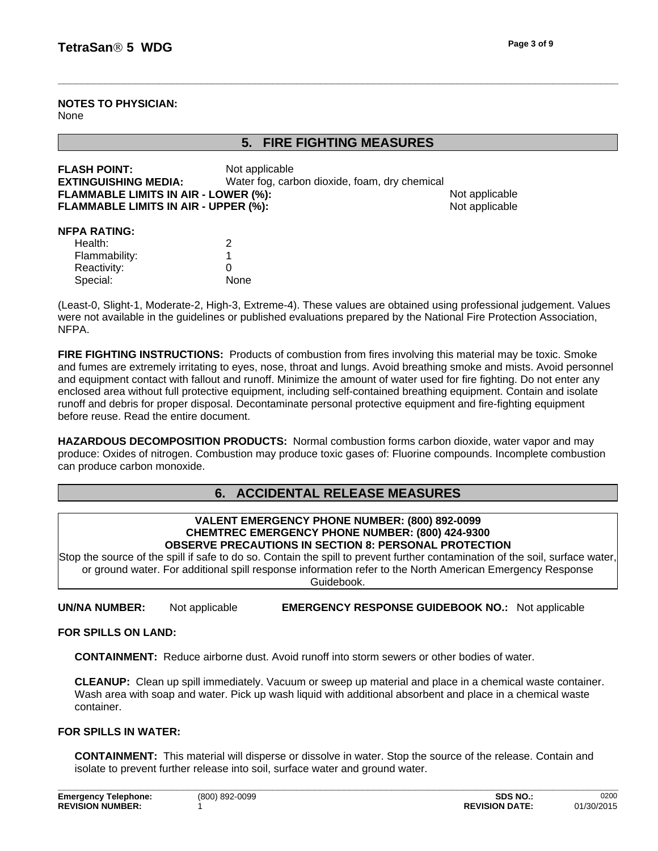**NOTES TO PHYSICIAN:** None

**5. FIRE FIGHTING MEASURES**

| <b>FLASH POINT:</b><br><b>EXTINGUISHING MEDIA:</b><br><b>FLAMMABLE LIMITS IN AIR - LOWER (%):</b><br>FLAMMABLE LIMITS IN AIR - UPPER (%): | Not applicable<br>Water fog, carbon dioxide, foam, dry chemical | Not applicable<br>Not applicable |
|-------------------------------------------------------------------------------------------------------------------------------------------|-----------------------------------------------------------------|----------------------------------|
| <b>NFPA RATING:</b><br>Health:<br>Flammability:<br>Reactivity:<br>Special:                                                                | 2<br>0<br>None                                                  |                                  |

(Least-0, Slight-1, Moderate-2, High-3, Extreme-4). These values are obtained using professional judgement. Values were not available in the guidelines or published evaluations prepared by the National Fire Protection Association, NFPA.

**FIRE FIGHTING INSTRUCTIONS:** Products of combustion from fires involving this material may be toxic. Smoke and fumes are extremely irritating to eyes, nose, throat and lungs. Avoid breathing smoke and mists. Avoid personnel and equipment contact with fallout and runoff. Minimize the amount of water used for fire fighting. Do not enter any enclosed area without full protective equipment, including self-contained breathing equipment. Contain and isolate runoff and debris for proper disposal. Decontaminate personal protective equipment and fire-fighting equipment before reuse. Read the entire document.

**HAZARDOUS DECOMPOSITION PRODUCTS:** Normal combustion forms carbon dioxide, water vapor and may produce: Oxides of nitrogen. Combustion may produce toxic gases of: Fluorine compounds. Incomplete combustion can produce carbon monoxide.

## **6. ACCIDENTAL RELEASE MEASURES**

#### **VALENT EMERGENCY PHONE NUMBER: (800) 892-0099 CHEMTREC EMERGENCY PHONE NUMBER: (800) 424-9300 OBSERVE PRECAUTIONS IN SECTION 8: PERSONAL PROTECTION**

Stop the source of the spill if safe to do so. Contain the spill to prevent further contamination of the soil, surface water, or ground water. For additional spill response information refer to the North American Emergency Response Guidebook.

**UN/NA NUMBER:** Not applicable **EMERGENCY RESPONSE GUIDEBOOK NO.:** Not applicable

## **FOR SPILLS ON LAND:**

**CONTAINMENT:** Reduce airborne dust. Avoid runoff into storm sewers or other bodies of water.

**CLEANUP:** Clean up spill immediately. Vacuum or sweep up material and place in a chemical waste container. Wash area with soap and water. Pick up wash liquid with additional absorbent and place in a chemical waste container.

## **FOR SPILLS IN WATER:**

**CONTAINMENT:** This material will disperse or dissolve in water. Stop the source of the release. Contain and isolate to prevent further release into soil, surface water and ground water.

**\_\_\_\_\_\_\_\_\_\_\_\_\_\_\_\_\_\_\_\_\_\_\_\_\_\_\_\_\_\_\_\_\_\_\_\_\_\_\_\_\_\_\_\_\_\_\_\_\_\_\_\_\_\_\_\_\_\_\_\_\_\_\_\_\_\_\_\_\_\_\_\_\_\_\_\_\_\_\_\_\_\_\_\_\_\_\_\_\_\_\_\_\_\_**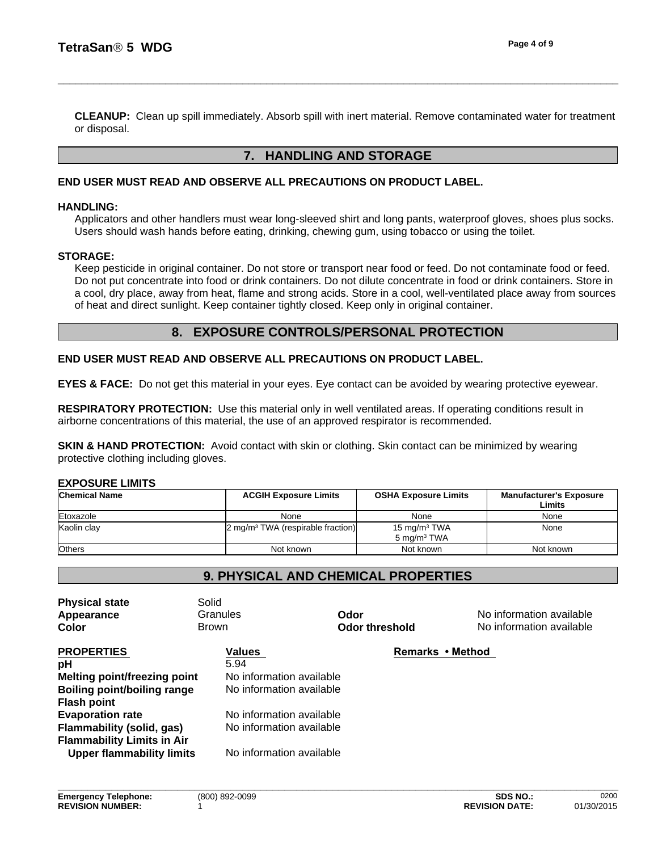**CLEANUP:** Clean up spill immediately. Absorb spill with inert material. Remove contaminated water for treatment or disposal.

## **7. HANDLING AND STORAGE**

## **END USER MUST READ AND OBSERVE ALL PRECAUTIONS ON PRODUCT LABEL.**

#### **HANDLING:**

Applicators and other handlers must wear long-sleeved shirt and long pants, waterproof gloves, shoes plus socks. Users should wash hands before eating, drinking, chewing gum, using tobacco or using the toilet.

## **STORAGE:**

Keep pesticide in original container. Do not store or transport near food or feed. Do not contaminate food or feed. Do not put concentrate into food or drink containers. Do not dilute concentrate in food or drink containers. Store in a cool, dry place, away from heat, flame and strong acids. Store in a cool, well-ventilated place away from sources of heat and direct sunlight. Keep container tightly closed. Keep only in original container.

## **8. EXPOSURE CONTROLS/PERSONAL PROTECTION**

## **END USER MUST READ AND OBSERVE ALL PRECAUTIONS ON PRODUCT LABEL.**

**EYES & FACE:** Do not get this material in your eyes. Eye contact can be avoided by wearing protective eyewear.

**RESPIRATORY PROTECTION:** Use this material only in well ventilated areas. If operating conditions result in airborne concentrations of this material, the use of an approved respirator is recommended.

**SKIN & HAND PROTECTION:** Avoid contact with skin or clothing. Skin contact can be minimized by wearing protective clothing including gloves.

## **EXPOSURE LIMITS**

| <b>Chemical Name</b> | <b>ACGIH Exposure Limits</b>                 | <b>OSHA Exposure Limits</b>               | <b>Manufacturer's Exposure</b><br>Limits |
|----------------------|----------------------------------------------|-------------------------------------------|------------------------------------------|
| Etoxazole            | None                                         | None                                      | None                                     |
| Kaolin clay          | $2 \text{ mg/m}^3$ TWA (respirable fraction) | 15 mg/m $3$ TWA<br>$5 \text{ ma/m}^3$ TWA | None                                     |
| <b>Others</b>        | Not known                                    | Not known                                 | Not known                                |

## **9. PHYSICAL AND CHEMICAL PROPERTIES**

| <b>Physical state</b><br>Appearance | Solid<br>Granules        | Odor             | No information available |  |
|-------------------------------------|--------------------------|------------------|--------------------------|--|
| <b>Color</b>                        | <b>Brown</b>             | Odor threshold   | No information available |  |
| <b>PROPERTIES</b>                   | <b>Values</b>            | Remarks • Method |                          |  |
| рH                                  | 5.94                     |                  |                          |  |
| <b>Melting point/freezing point</b> | No information available |                  |                          |  |
| Boiling point/boiling range         | No information available |                  |                          |  |
| <b>Flash point</b>                  |                          |                  |                          |  |
| <b>Evaporation rate</b>             | No information available |                  |                          |  |
| Flammability (solid, gas)           | No information available |                  |                          |  |
| <b>Flammability Limits in Air</b>   |                          |                  |                          |  |
| <b>Upper flammability limits</b>    | No information available |                  |                          |  |
|                                     |                          |                  |                          |  |
|                                     |                          |                  |                          |  |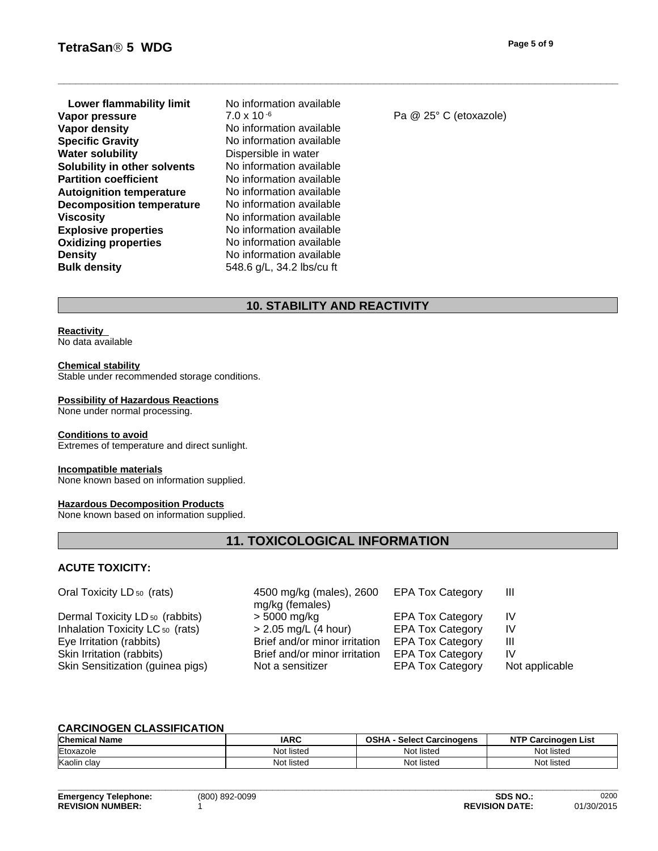- **Explosive properties** No information available<br> **Oxidizing properties** No information available **Oxidizing properties Density** No information available **Bulk density** 548.6 g/L, 34.2 lbs/cu ft **Lower flammability limit** No information available<br>**ADO** NO X 10<sup>-6</sup> **Vapor pressure** 7.0 x 10<sup>-6</sup> Pa @ 25° C (etoxazole) **Vapor density** No information available **Specific Gravity** No information available **Water solubility** Dispersible in water **Solubility in other solvents** No information available **Partition coefficient** No information available **Autoignition temperature** No information available **Decomposition temperature** No information available **Viscosity** No information available
- 

## **10. STABILITY AND REACTIVITY**

#### **Reactivity**

No data available

#### **Chemical stability**

Stable under recommended storage conditions.

#### **Possibility of Hazardous Reactions**

None under normal processing.

#### **Conditions to avoid**

Extremes of temperature and direct sunlight.

#### **Incompatible materials**

None known based on information supplied.

#### **Hazardous Decomposition Products**

None known based on information supplied.

## **11. TOXICOLOGICAL INFORMATION**

## **ACUTE TOXICITY:**

| Oral Toxicity LD <sub>50</sub> (rats)      | 4500 mg/kg (males), 2600 EPA Tox Category<br>mg/kg (females) |                         | Ш              |
|--------------------------------------------|--------------------------------------------------------------|-------------------------|----------------|
| Dermal Toxicity LD <sub>50</sub> (rabbits) | > 5000 mg/kg                                                 | <b>EPA Tox Category</b> | IV             |
| Inhalation Toxicity LC 50 (rats)           | $> 2.05$ mg/L (4 hour)                                       | <b>EPA Tox Category</b> | IV             |
| Eye Irritation (rabbits)                   | Brief and/or minor irritation                                | <b>EPA Tox Category</b> | Ш              |
| Skin Irritation (rabbits)                  | Brief and/or minor irritation                                | <b>EPA Tox Category</b> | IV             |
| Skin Sensitization (guinea pigs)           | Not a sensitizer                                             | <b>EPA Tox Category</b> | Not applicable |

## **CARCINOGEN CLASSIFICATION**

| <b>Chemical Name</b> | <b>IARC</b> | <b>OSHA</b><br><b>Select Carcinogens</b> | <b>NTP Carcinogen</b><br>⊦List |
|----------------------|-------------|------------------------------------------|--------------------------------|
| Etoxazole            | Not listed  | Not listed                               | Not listed                     |
| Kaolin<br>clav       | Not listed  | Not listed                               | Not listec                     |

**\_\_\_\_\_\_\_\_\_\_\_\_\_\_\_\_\_\_\_\_\_\_\_\_\_\_\_\_\_\_\_\_\_\_\_\_\_\_\_\_\_\_\_\_\_\_\_\_\_\_\_\_\_\_\_\_\_\_\_\_\_\_\_\_\_\_\_\_\_\_\_\_\_\_\_\_\_\_\_\_\_\_\_\_\_\_\_\_\_\_\_\_\_\_**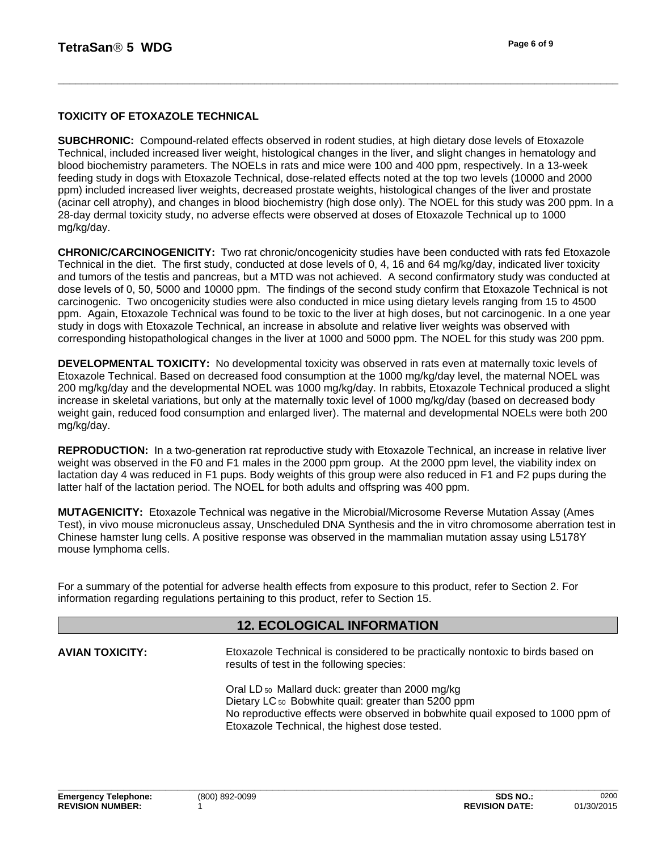## **TOXICITY OF ETOXAZOLE TECHNICAL**

**SUBCHRONIC:** Compound-related effects observed in rodent studies, at high dietary dose levels of Etoxazole Technical, included increased liver weight, histological changes in the liver, and slight changes in hematology and blood biochemistry parameters. The NOELs in rats and mice were 100 and 400 ppm, respectively. In a 13-week feeding study in dogs with Etoxazole Technical, dose-related effects noted at the top two levels (10000 and 2000 ppm) included increased liver weights, decreased prostate weights, histological changes of the liver and prostate (acinar cell atrophy), and changes in blood biochemistry (high dose only). The NOEL for this study was 200 ppm. In a 28-day dermal toxicity study, no adverse effects were observed at doses of Etoxazole Technical up to 1000 mg/kg/day.

**CHRONIC/CARCINOGENICITY:** Two rat chronic/oncogenicity studies have been conducted with rats fed Etoxazole Technical in the diet. The first study, conducted at dose levels of 0, 4, 16 and 64 mg/kg/day, indicated liver toxicity and tumors of the testis and pancreas, but a MTD was not achieved. A second confirmatory study was conducted at dose levels of 0, 50, 5000 and 10000 ppm. The findings of the second study confirm that Etoxazole Technical is not carcinogenic. Two oncogenicity studies were also conducted in mice using dietary levels ranging from 15 to 4500 ppm. Again, Etoxazole Technical was found to be toxic to the liver at high doses, but not carcinogenic. In a one year study in dogs with Etoxazole Technical, an increase in absolute and relative liver weights was observed with corresponding histopathological changes in the liver at 1000 and 5000 ppm. The NOEL for this study was 200 ppm.

**DEVELOPMENTAL TOXICITY:** No developmental toxicity was observed in rats even at maternally toxic levels of Etoxazole Technical. Based on decreased food consumption at the 1000 mg/kg/day level, the maternal NOEL was 200 mg/kg/day and the developmental NOEL was 1000 mg/kg/day. In rabbits, Etoxazole Technical produced a slight increase in skeletal variations, but only at the maternally toxic level of 1000 mg/kg/day (based on decreased body weight gain, reduced food consumption and enlarged liver). The maternal and developmental NOELs were both 200 mg/kg/day.

**REPRODUCTION:** In a two-generation rat reproductive study with Etoxazole Technical, an increase in relative liver weight was observed in the F0 and F1 males in the 2000 ppm group. At the 2000 ppm level, the viability index on lactation day 4 was reduced in F1 pups. Body weights of this group were also reduced in F1 and F2 pups during the latter half of the lactation period. The NOEL for both adults and offspring was 400 ppm.

**MUTAGENICITY:** Etoxazole Technical was negative in the Microbial/Microsome Reverse Mutation Assay (Ames Test), in vivo mouse micronucleus assay, Unscheduled DNA Synthesis and the in vitro chromosome aberration test in Chinese hamster lung cells. A positive response was observed in the mammalian mutation assay using L5178Y mouse lymphoma cells.

For a summary of the potential for adverse health effects from exposure to this product, refer to Section 2. For information regarding regulations pertaining to this product, refer to Section 15.

## **12. ECOLOGICAL INFORMATION**

**AVIAN TOXICITY:**

Etoxazole Technical is considered to be practically nontoxic to birds based on results of test in the following species:

Oral LD 50 Mallard duck: greater than 2000 mg/kg Dietary LC<sub>50</sub> Bobwhite quail: greater than 5200 ppm No reproductive effects were observed in bobwhite quail exposed to 1000 ppm of Etoxazole Technical, the highest dose tested.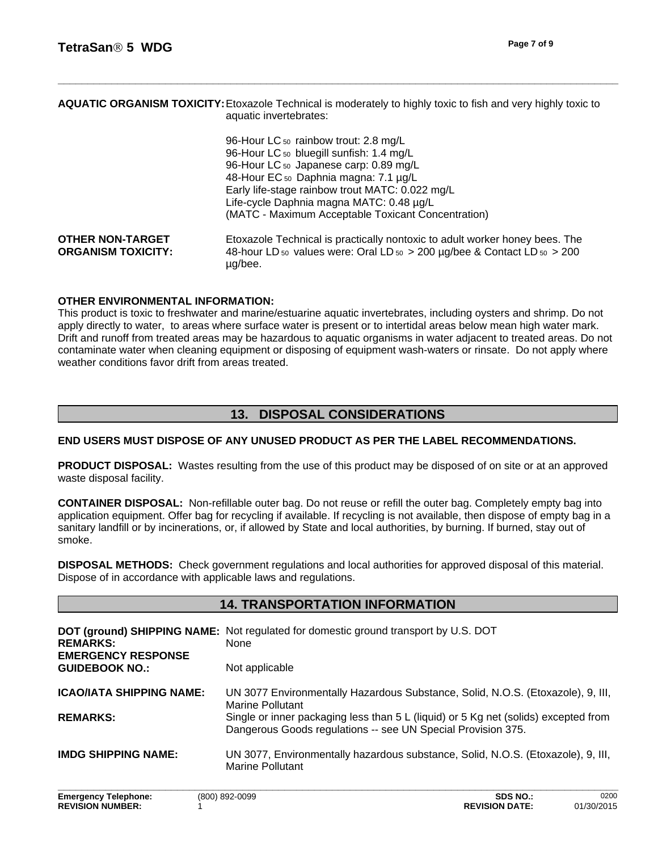## **AQUATIC ORGANISM TOXICITY:**Etoxazole Technical is moderately to highly toxic to fish and very highly toxic to aquatic invertebrates:

| 96-Hour LC 50 rainbow trout: 2.8 mg/L                                                                                     |
|---------------------------------------------------------------------------------------------------------------------------|
| 96-Hour LC <sub>50</sub> bluegill sunfish: 1.4 mg/L                                                                       |
| 96-Hour LC 50 Japanese carp: 0.89 mg/L                                                                                    |
| 48-Hour EC 50 Daphnia magna: 7.1 µg/L                                                                                     |
| Early life-stage rainbow trout MATC: 0.022 mg/L                                                                           |
| Life-cycle Daphnia magna MATC: 0.48 µg/L                                                                                  |
| (MATC - Maximum Acceptable Toxicant Concentration)                                                                        |
| Etoxazole Technical is practically nontoxic to adult worker honey bees. The                                               |
| 48-hour LD <sub>50</sub> values were: Oral LD <sub>50</sub> > 200 $\mu$ g/bee & Contact LD <sub>50</sub> > 200<br>µg/bee. |
|                                                                                                                           |

## **OTHER ENVIRONMENTAL INFORMATION:**

This product is toxic to freshwater and marine/estuarine aquatic invertebrates, including oysters and shrimp. Do not apply directly to water, to areas where surface water is present or to intertidal areas below mean high water mark. Drift and runoff from treated areas may be hazardous to aquatic organisms in water adjacent to treated areas. Do not contaminate water when cleaning equipment or disposing of equipment wash-waters or rinsate. Do not apply where weather conditions favor drift from areas treated.

## **13. DISPOSAL CONSIDERATIONS**

## **END USERS MUST DISPOSE OF ANY UNUSED PRODUCT AS PER THE LABEL RECOMMENDATIONS.**

**PRODUCT DISPOSAL:** Wastes resulting from the use of this product may be disposed of on site or at an approved waste disposal facility.

**CONTAINER DISPOSAL:** Non-refillable outer bag. Do not reuse or refill the outer bag. Completely empty bag into application equipment. Offer bag for recycling if available. If recycling is not available, then dispose of empty bag in a sanitary landfill or by incinerations, or, if allowed by State and local authorities, by burning. If burned, stay out of smoke.

**DISPOSAL METHODS:** Check government regulations and local authorities for approved disposal of this material. Dispose of in accordance with applicable laws and regulations.

## **14. TRANSPORTATION INFORMATION**

| <b>REMARKS:</b><br><b>EMERGENCY RESPONSE</b> | DOT (ground) SHIPPING NAME: Not regulated for domestic ground transport by U.S. DOT<br><b>None</b>                                                  |
|----------------------------------------------|-----------------------------------------------------------------------------------------------------------------------------------------------------|
| <b>GUIDEBOOK NO.:</b>                        | Not applicable                                                                                                                                      |
| <b>ICAO/IATA SHIPPING NAME:</b>              | UN 3077 Environmentally Hazardous Substance, Solid, N.O.S. (Etoxazole), 9, III,<br><b>Marine Pollutant</b>                                          |
| <b>REMARKS:</b>                              | Single or inner packaging less than 5 L (liquid) or 5 Kg net (solids) excepted from<br>Dangerous Goods regulations -- see UN Special Provision 375. |
| <b>IMDG SHIPPING NAME:</b>                   | UN 3077, Environmentally hazardous substance, Solid, N.O.S. (Etoxazole), 9, III,<br><b>Marine Pollutant</b>                                         |
|                                              |                                                                                                                                                     |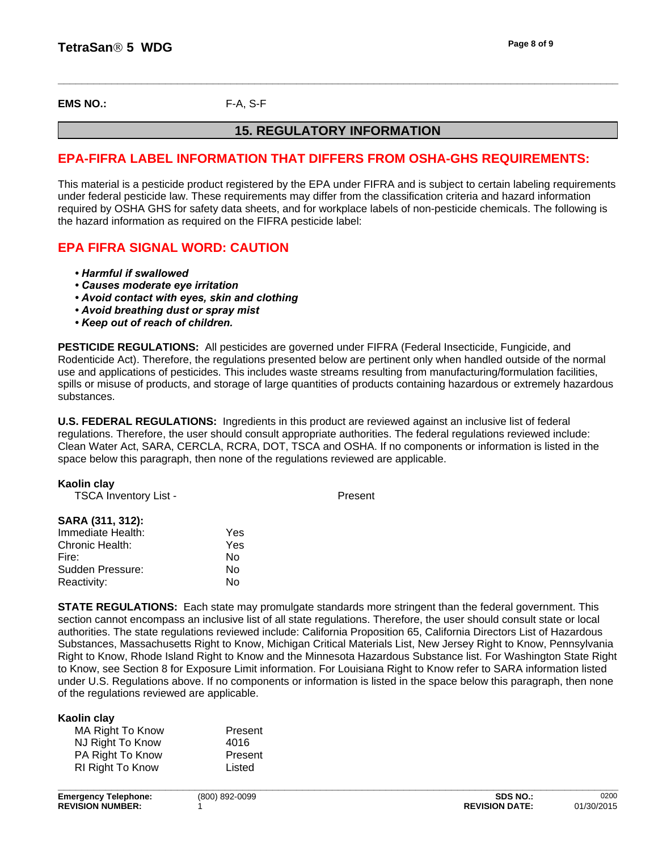**EMS NO.:** F-A, S-F

## **15. REGULATORY INFORMATION**

## **EPA-FIFRA LABEL INFORMATION THAT DIFFERS FROM OSHA-GHS REQUIREMENTS:**

This material is a pesticide product registered by the EPA under FIFRA and is subject to certain labeling requirements under federal pesticide law. These requirements may differ from the classification criteria and hazard information required by OSHA GHS for safety data sheets, and for workplace labels of non-pesticide chemicals. The following is the hazard information as required on the FIFRA pesticide label:

## **EPA FIFRA SIGNAL WORD: CAUTION**

- *•Harmfulifswallowed*
- **Causes moderate eve irritation**
- *•Avoidcontactwitheyes,skinandclothing*
- **Avoid breathing dust or spray mist**
- *•Keepoutofreachofchildren.*

**PESTICIDE REGULATIONS:** All pesticides are governed under FIFRA (Federal Insecticide, Fungicide, and Rodenticide Act). Therefore, the regulations presented below are pertinent only when handled outside of the normal use and applications of pesticides. This includes waste streams resulting from manufacturing/formulation facilities, spills or misuse of products, and storage of large quantities of products containing hazardous or extremely hazardous substances.

**U.S. FEDERAL REGULATIONS:** Ingredients in this product are reviewed against an inclusive list of federal regulations. Therefore, the user should consult appropriate authorities. The federal regulations reviewed include: Clean Water Act, SARA, CERCLA, RCRA, DOT, TSCA and OSHA. If no components or information is listed in the space below this paragraph, then none of the regulations reviewed are applicable.

| Kaolin clay                  |     |         |
|------------------------------|-----|---------|
| <b>TSCA Inventory List -</b> |     | Present |
| SARA (311, 312):             |     |         |
| Immediate Health:            | Yes |         |
| Chronic Health:              | Yes |         |
| Fire:                        | No  |         |
| Sudden Pressure:             | No  |         |
| Reactivity:                  | No  |         |

**STATE REGULATIONS:** Each state may promulgate standards more stringent than the federal government. This section cannot encompass an inclusive list of all state regulations. Therefore, the user should consult state or local authorities. The state regulations reviewed include: California Proposition 65, California Directors List of Hazardous Substances, Massachusetts Right to Know, Michigan Critical Materials List, New Jersey Right to Know, Pennsylvania Right to Know, Rhode Island Right to Know and the Minnesota Hazardous Substance list. For Washington State Right to Know, see Section 8 for Exposure Limit information. For Louisiana Right to Know refer to SARA information listed under U.S. Regulations above. If no components or information is listed in the space below this paragraph, then none of the regulations reviewed are applicable.

| Kaolin clay      |         |  |
|------------------|---------|--|
| MA Right To Know | Present |  |
| NJ Right To Know | 4016    |  |
| PA Right To Know | Present |  |
| RI Right To Know | Listed  |  |